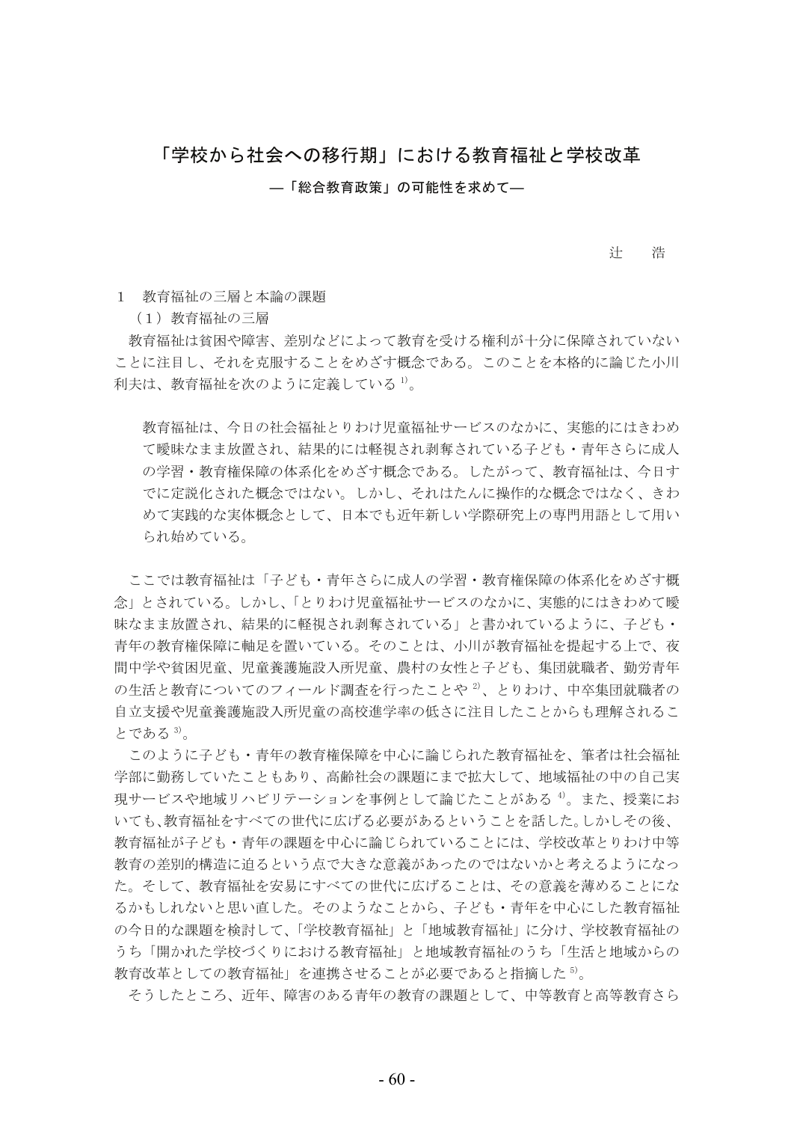## 「学校から社会への移行期」における教育福祉と学校改革

—「総合教育政策」の可能性を求めて—

辻 浩

1 教育福祉の三層と本論の課題

(1) 教育福祉の三層

教育福祉は貧困や障害、差別などによって教育を受ける権利が十分に保障されていない ことに注目し、それを克服することをめざす概念である。このことを本格的に論じた小川 利夫は、教育福祉を次のように定義している<sup>1)</sup>。

教育福祉は、今日の社会福祉とりわけ児童福祉サービスのなかに、実熊的にはきわめ て曖昧なまま放置され、結果的には軽視され剥奪されている子ども・青年さらに成人 の学習・教育権保障の体系化をめざす概念である。したがって、教育福祉は、今日す でに定説化された概念ではない。しかし、それはたんに操作的な概念ではなく、きわ めて実践的な実体概念として、日本でも近年新しい学際研究上の専門用語として用い られ始めている。

ここでは教育福祉は「子ども・青年さらに成人の学習・教育権保障の体系化をめざす概 念」とされている。しかし、「とりわけ児童福祉サービスのなかに、実態的にはきわめて曖 昧なまま放置され、結果的に軽視され剥奪されている」と書かれているように、子ども・ 青年の教育権保障に軸足を置いている。そのことは、小川が教育福祉を提起する上で、夜 間中学や貧困児童、児童養護施設入所児童、農村の女性と子ども、集団就職者、勤労青年 の生活と教育についてのフィールド調査を行ったことや<sup>2)</sup>、とりわけ、中卒集団就職者の 自立支援や児童養護施設入所児童の高校進学率の低さに注目したことからも理解されるこ とである 3)。

このように子ども・青年の教育権保障を中心に論じられた教育福祉を、筆者は社会福祉 学部に勤務していたこともあり、高齢社会の課題にまで拡大して、地域福祉の中の自己実 現サービスや地域リハビリテーションを事例として論じたことがある4。また、授業にお いても、教育福祉をすべての世代に広げる必要があるということを話した。しかしその後、 教育福祉が子ども・青年の課題を中心に論じられていることには、学校改革とりわけ中等 教育の差別的構造に迫るという点で大きな意義があったのではないかと考えるようになっ た。そして、教育福祉を安易にすべての世代に広げることは、その意義を薄めることにな るかもしれないと思い直した。そのようなことから、子ども・青年を中心にした教育福祉 の今日的な課題を検討して、「学校教育福祉」と「地域教育福祉」に分け、学校教育福祉の うち「開かれた学校づくりにおける教育福祉」と地域教育福祉のうち「生活と地域からの 教育改革としての教育福祉」を連携させることが必要であると指摘した<sup>5</sup>。

そうしたところ、近年、障害のある青年の教育の課題として、中等教育と高等教育さら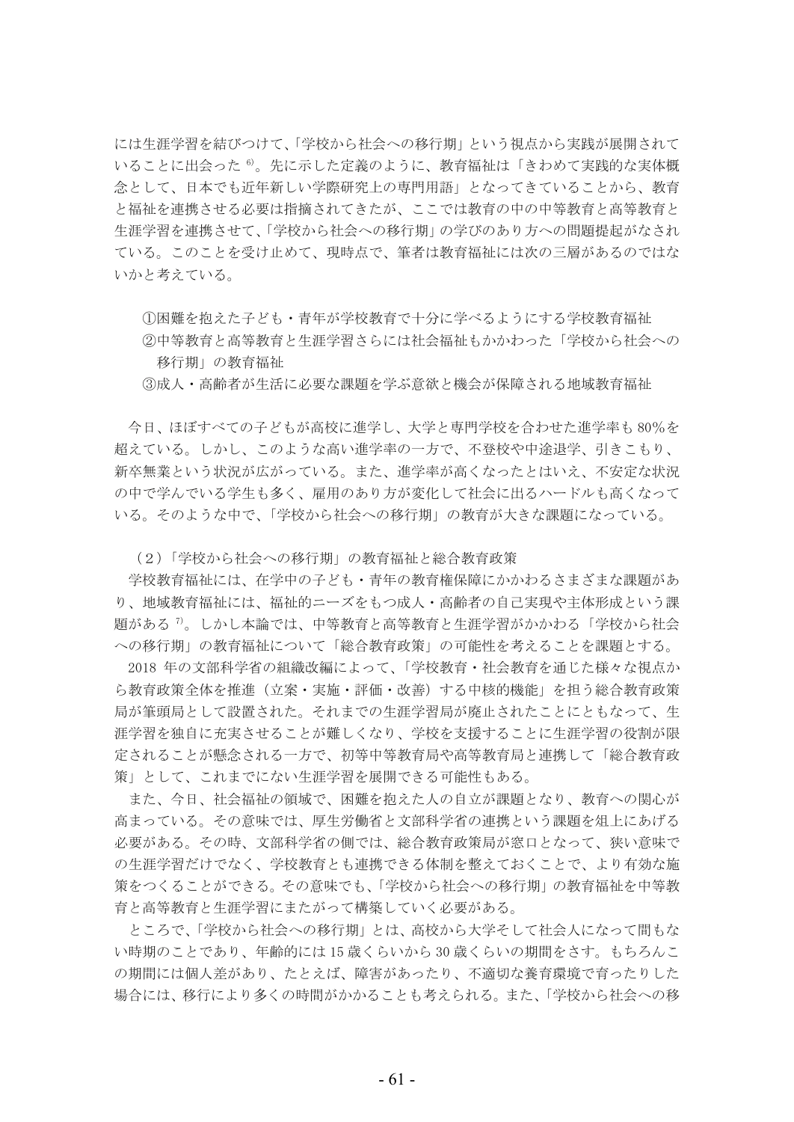には生涯学習を結びつけて、「学校から社会への移行期」という視点から実践が展開されて いることに出会った<sup>6</sup>。先に示した定義のように、教育福祉は「きわめて実践的な実体概 念として、日本でも近年新しい学際研究上の専門用語」となってきていることから、教育 と福祉を連携させる必要は指摘されてきたが、ここでは教育の中の中等教育と高等教育と 生涯学習を連携させて、「学校から社会への移行期」の学びのあり方への問題提起がなされ ている。このことを受け止めて、現時点で、筆者は教育福祉には次の三層があるのではな いかと考えている。

17 困難を抱えた子ども・青年が学校教育で十分に学べるようにする学校教育福祉 ②中等教育と高等教育と生涯学習さらには社会福祉もかかわった「学校から社会への 移行期」の教育福祉

3成人・高齢者が生活に必要な課題を学ぶ意欲と機会が保障される地域教育福祉

今日、ほぼすべての子どもが高校に進学し、大学と専門学校を合わせた進学率も80%を 超えている。しかし、このような高い進学率の一方で、不登校や中途退学、引きこもり、 新卒無業という状況が広がっている。また、進学率が高くなったとはいえ、不安定な状況 の中で学んでいる学生も多く、雇用のあり方が変化して社会に出るハードルも高くなって いる。そのような中で、「学校から社会への移行期」の教育が大きな課題になっている。

(2)「学校から社会への移行期」の教育福祉と総合教育政策

学校教育福祉には、在学中の子ども・青年の教育権保障にかかわるさまざまな課題があ り、地域教育福祉には、福祉的ニーズをもつ成人・高齢者の自己実現や主体形成という課 題がある <sup>7)</sup>。しかし本論では、中等教育と高等教育と生涯学習がかかわる「学校から社会 への移行期」の教育福祉について「総合教育政策」の可能性を考えることを課題とする。

2018 年の文部科学省の組織改編によって、「学校教育・社会教育を通じた様々な視点か ら教育政策全体を推進(立案・実施・評価・改善)する中核的機能」を担う総合教育政策 局が筆頭局として設置された。それまでの生涯学習局が廃止されたことにともなって、生 涯学習を独自に充実させることが難しくなり、学校を支援することに生涯学習の役割が限 定されることが懸念される一方で、初等中等教育局や高等教育局と連携して「総合教育政 策」として、これまでにない生涯学習を展開できる可能性もある。

また、今日、社会福祉の領域で、困難を抱えた人の自立が課題となり、教育への関心が 高まっている。その意味では、厚生労働省と文部科学省の連携という課題を俎上にあげる 必要がある。その時、文部科学省の側では、総合教育政策局が窓口となって、狭い意味で の生涯学習だけでなく、学校教育とも連携できる体制を整えておくことで、より有効な施 策をつくることができる。その意味でも、「学校から社会への移行期」の教育福祉を中等教 育と高等教育と生涯学習にまたがって構築していく必要がある。

ところで、「学校から社会への移行期」とは、高校から大学そして社会人になって間もな い時期のことであり、年齢的には15歳くらいから30歳くらいの期間をさす。もちろんこ の期間には個人差があり、たとえば、障害があったり、不適切な養育環境で育ったりした 場合には、移行により多くの時間がかかることも考えられる。また、「学校から社会への移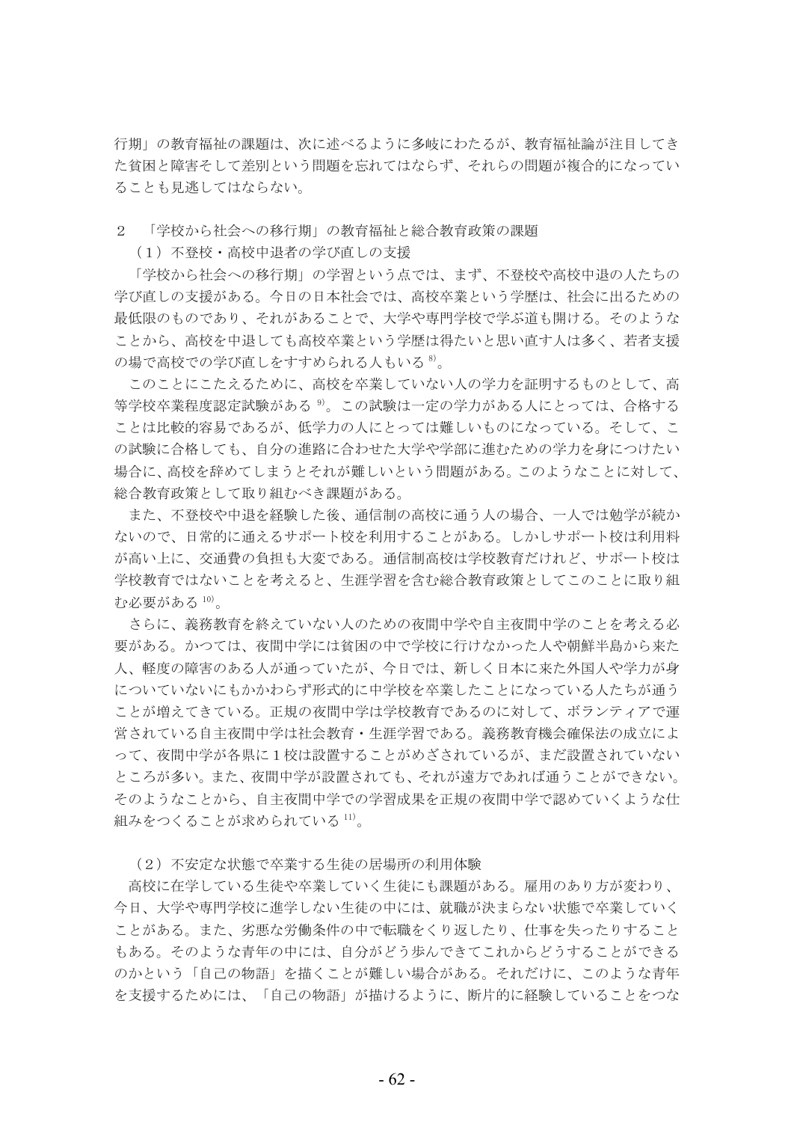行期」の教育福祉の課題は、次に述べるように多岐にわたるが、教育福祉論が注目してき た貧困と障害そして差別という問題を忘れてはならず、それらの問題が複合的になってい ることも見逃してはならない。

2 「学校から社会への移行期」の教育福祉と総合教育政策の課題

(1) 不登校・高校中退者の学び直しの支援

「学校から社会への移行期」の学習という点では、まず、不登校や高校中退の人たちの 学び直しの支援がある。今日の日本社会では、高校卒業という学歴は、社会に出るための 最低限のものであり、それがあることで、大学や専門学校で学ぶ道も開ける。そのような ことから、高校を中退しても高校卒業という学歴は得たいと思い直す人は多く、若者支援 の場で高校での学び直しをすすめられる人もいる<sup>8)</sup>。

このことにこたえるために、高校を卒業していない人の学力を証明するものとして、高 等学校卒業程度認定試験がある<sup>9</sup>。この試験は一定の学力がある人にとっては、合格する ことは比較的容易であるが、低学力の人にとっては難しいものになっている。そして、こ の試験に合格しても、自分の進路に合わせた大学や学部に進むための学力を身につけたい 場合に、高校を辞めてしまうとそれが難しいという問題がある。このようなことに対して、 総合教育政策として取り組むべき課題がある。

また、不登校や中退を経験した後、通信制の高校に通う人の場合、一人では勉学が続か ないので、日常的に通えるサポート校を利用することがある。しかしサポート校は利用料 が高い上に、交通費の負担も大変である。通信制高校は学校教育だけれど、サポート校は 学校教育ではないことを考えると、生涯学習を含む総合教育政策としてこのことに取り組 か必要がある<sup>10)</sup>。

さらに、義務教育を終えていない人のための夜間中学や自主夜間中学のことを考える必 要がある。かつては、夜間中学には貧困の中で学校に行けなかった人や朝鮮半島から来た 人、軽度の障害のある人が通っていたが、今日では、新しく日本に来た外国人や学力が身 についていないにもかかわらず形式的に中学校を卒業したことになっている人たちが通う ことが増えてきている。正規の夜間中学は学校教育であるのに対して、ボランティアで運 営されている自主夜間中学は社会教育・生涯学習である。義務教育機会確保法の成立によ って、夜間中学が各県に1校は設置することがめざされているが、まだ設置されていない ところが多い。また、夜間中学が設置されても、それが遠方であれば通うことができない。 そのようなことから、自主夜間中学での学習成果を正規の夜間中学で認めていくような仕 組みをつくることが求められている 11)。

(2) 不安定な状態で卒業する生徒の居場所の利用体験

高校に在学している生徒や卒業していく生徒にも課題がある。雇用のあり方が変わり、 今日、大学や専門学校に進学しない生徒の中には、就職が決まらない状態で卒業していく ことがある。また、劣悪な労働条件の中で転職をくり返したり、仕事を失ったりすること もある。そのような青年の中には、自分がどう歩んできてこれからどうすることができる のかという「自己の物語」を描くことが難しい場合がある。それだけに、このような青年 を支援するためには、「自己の物語」が描けるように、断片的に経験していることをつな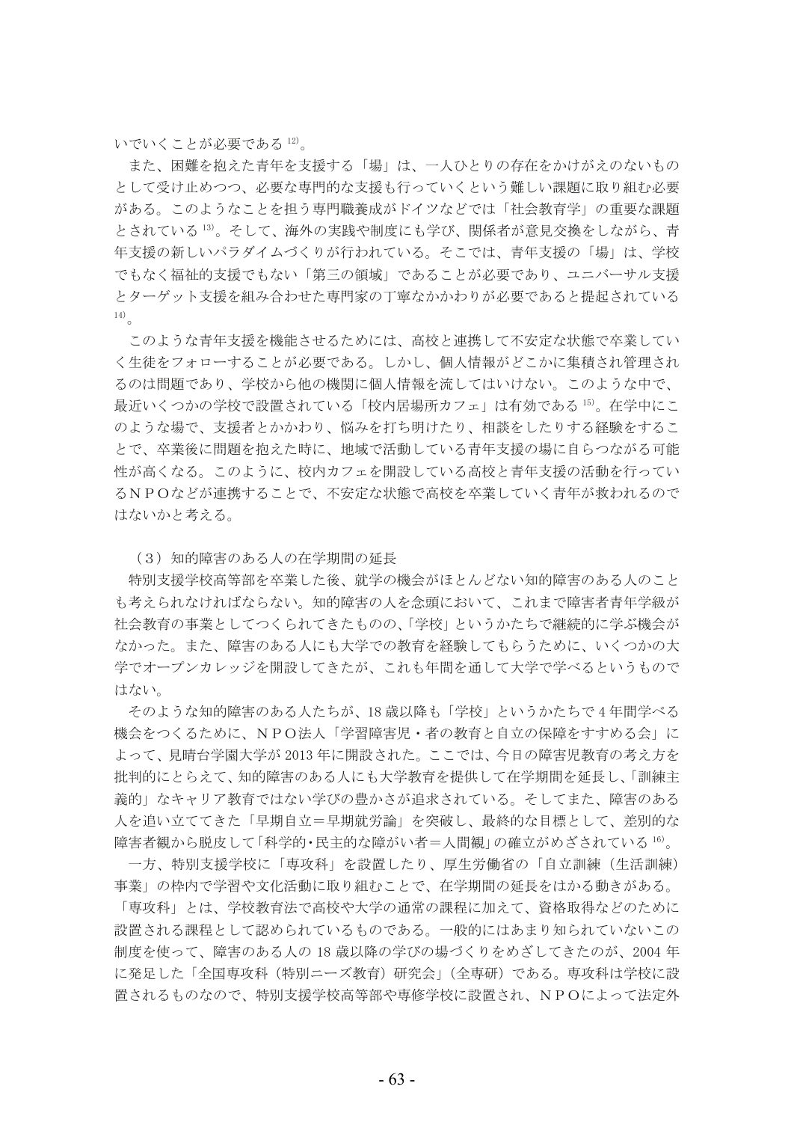いでいくことが必要である12)。

また、困難を抱えた青年を支援する「場」は、一人ひとりの存在をかけがえのないもの として受け止めつつ、必要な専門的な支援も行っていくという難しい課題に取り組む必要 がある。このようなことを担う専門職養成がドイツなどでは「社会教育学」の重要な課題 とされている <sup>13)</sup>。そして、海外の実践や制度にも学び、関係者が意見交換をしながら、青 年支援の新しいパラダイムづくりが行われている。そこでは、青年支援の「場」は、学校 でもなく福祉的支援でもない「第三の領域」であることが必要であり、ユニバーサル支援 とターゲット支援を組み合わせた専門家の丁寧なかかわりが必要であると提起されている  $14)$ 

このような青年支援を機能させるためには、高校と連携して不安定な状態で卒業してい く生徒をフォローすることが必要である。しかし、個人情報がどこかに集積され管理され るのは問題であり、学校から他の機関に個人情報を流してはいけない。このような中で、 最近いくつかの学校で設置されている「校内居場所カフェ」は有効である <sup>15)</sup>。在学中にこ のような場で、支援者とかかわり、悩みを打ち明けたり、相談をしたりする経験をするこ とで、卒業後に問題を抱えた時に、地域で活動している青年支援の場に自らつながる可能 性が高くなる。このように、校内カフェを開設している高校と青年支援の活動を行ってい るNPOなどが連携することで、不安定な状態で高校を卒業していく青年が救われるので はないかと考える。

(3) 知的障害のある人の在学期間の延長

特別支援学校高等部を卒業した後、就学の機会がほとんどない知的障害のある人のこと も考えられなければならない。知的障害の人を念頭において、これまで障害者青年学級が 社会教育の事業としてつくられてきたものの、「学校」というかたちで継続的に学ぶ機会が なかった。また、障害のある人にも大学での教育を経験してもらうために、いくつかの大 学でオープンカレッジを開設してきたが、これも年間を通して大学で学べるというもので はない。

そのような知的障害のある人たちが、18歳以降も「学校」というかたちで4年間学べる 機会をつくるために、NPO法人「学習障害児・者の教育と自立の保障をすすめる会」に よって、見晴台学園大学が2013年に開設された。ここでは、今日の障害児教育の考え方を 批判的にとらえて、知的障害のある人にも大学教育を提供して在学期間を延長し、「訓練主 義的」なキャリア教育ではない学びの豊かさが追求されている。そしてまた、障害のある 人を追い立ててきた「早期自立=早期就労論」を突破し、最終的な目標として、差別的な 障害者観から脱皮して「科学的・民主的な障がい者=人間観」の確立がめざされている 16)。

一方、特別支援学校に「専攻科」を設置したり、厚生労働省の「自立訓練(生活訓練) 事業」の枠内で学習や文化活動に取り組むことで、在学期間の延長をはかる動きがある。

「専攻科」とは、学校教育法で高校や大学の通常の課程に加えて、資格取得などのために 設置される課程として認められているものである。一般的にはあまり知られていないこの 制度を使って、障害のある人の18歳以降の学びの場づくりをめざしてきたのが、2004年 に発足した「全国専攻科 (特別ニーズ教育) 研究会」(全専研) である。専攻科は学校に設 置されるものなので、特別支援学校高等部や専修学校に設置され、NPOによって法定外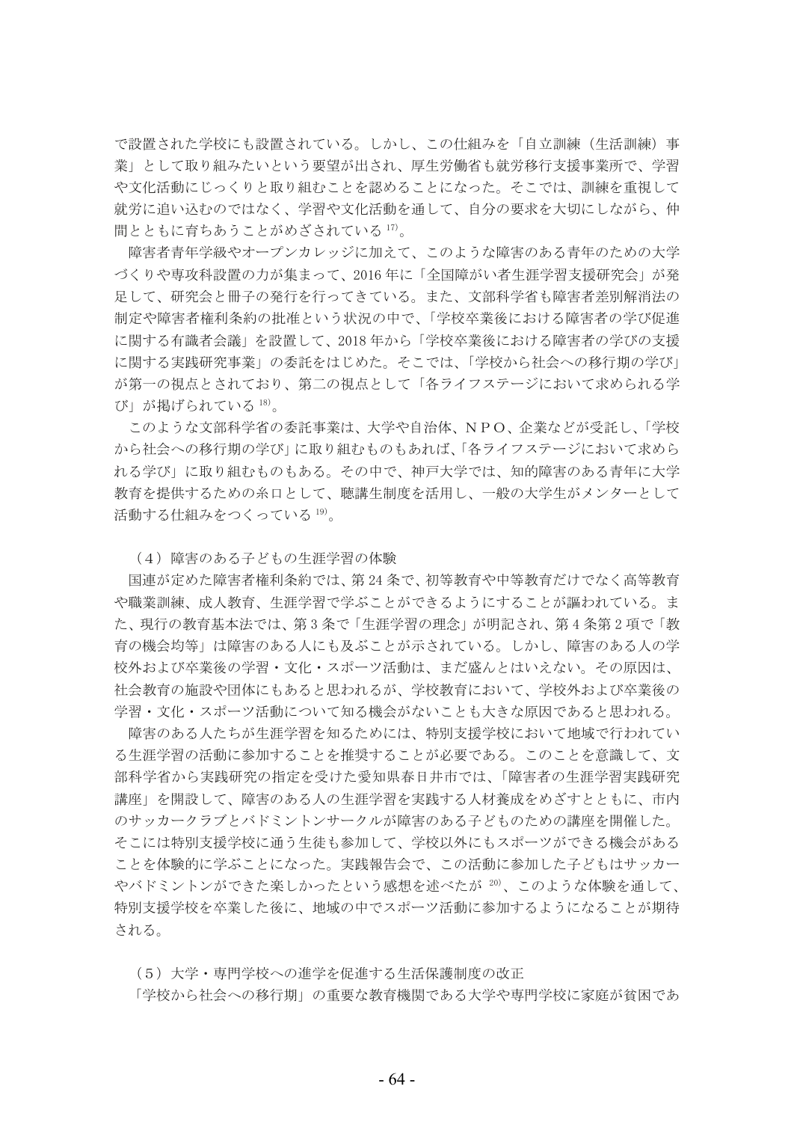で設置された学校にも設置されている。しかし、この仕組みを「自立訓練(生活訓練)事 業」として取り組みたいという要望が出され、厚生労働省も就労移行支援事業所で、学習 や文化活動にじっくりと取り組むことを認めることになった。そこでは、訓練を重視して 就労に追い込むのではなく、学習や文化活動を通して、自分の要求を大切にしながら、仲 間とともに育ちあうことがめざされている17)。

障害者青年学級やオープンカレッジに加えて、このような障害のある青年のための大学 づくりや専攻科設置の力が集まって、2016年に「全国障がい者生涯学習支援研究会」が発 足して、研究会と冊子の発行を行ってきている。また、文部科学省も障害者差別解消法の 制定や障害者権利条約の批准という状況の中で、「学校卒業後における障害者の学び促進 に関する有識者会議」を設置して、2018年から「学校卒業後における障害者の学びの支援 に関する実践研究事業」の委託をはじめた。そこでは、「学校から社会への移行期の学び」 が第一の視点とされており、第二の視点として「各ライフステージにおいて求められる学 び」が掲げられている18)。

このような文部科学省の委託事業は、大学や自治体、NPO、企業などが受託し、「学校 から社会への移行期の学び」に取り組むものもあれば、「各ライフステージにおいて求めら れる学び」に取り組むものもある。その中で、神戸大学では、知的障害のある青年に大学 教育を提供するための糸口として、聴講生制度を活用し、一般の大学生がメンターとして 活動する仕組みをつくっている 19)。

(4) 障害のある子どもの生涯学習の体験

国連が定めた障害者権利条約では、第24条で、初等教育や中等教育だけでなく高等教育 や職業訓練、成人教育、生涯学習で学ぶことができるようにすることが謳われている。ま た、現行の教育基本法では、第3条で「牛涯学習の理念」が明記され、第4条第2項で「教 育の機会均等」は障害のある人にも及ぶことが示されている。しかし、障害のある人の学 校外および卒業後の学習・文化・スポーツ活動は、まだ盛んとはいえない。その原因は、 社会教育の施設や団体にもあると思われるが、学校教育において、学校外および卒業後の 学習・文化・スポーツ活動について知る機会がないことも大きな原因であると思われる。

障害のある人たちが生涯学習を知るためには、特別支援学校において地域で行われてい る生涯学習の活動に参加することを推奨することが必要である。このことを意識して、文 部科学省から実践研究の指定を受けた愛知県春日井市では、「障害者の生涯学習実践研究 講座」を開設して、障害のある人の生涯学習を実践する人材養成をめざすとともに、市内 のサッカークラブとバドミントンサークルが障害のある子どものための講座を開催した。 そこには特別支援学校に通う生徒も参加して、学校以外にもスポーツができる機会がある ことを体験的に学ぶことになった。実践報告会で、この活動に参加した子どもはサッカー やバドミントンができた楽しかったという感想を述べたが<sup>20)</sup>、このような体験を通して、 特別支援学校を卒業した後に、地域の中でスポーツ活動に参加するようになることが期待 される。

(5) 大学·専門学校への進学を促進する生活保護制度の改正

「学校から社会への移行期」の重要な教育機関である大学や専門学校に家庭が貧困であ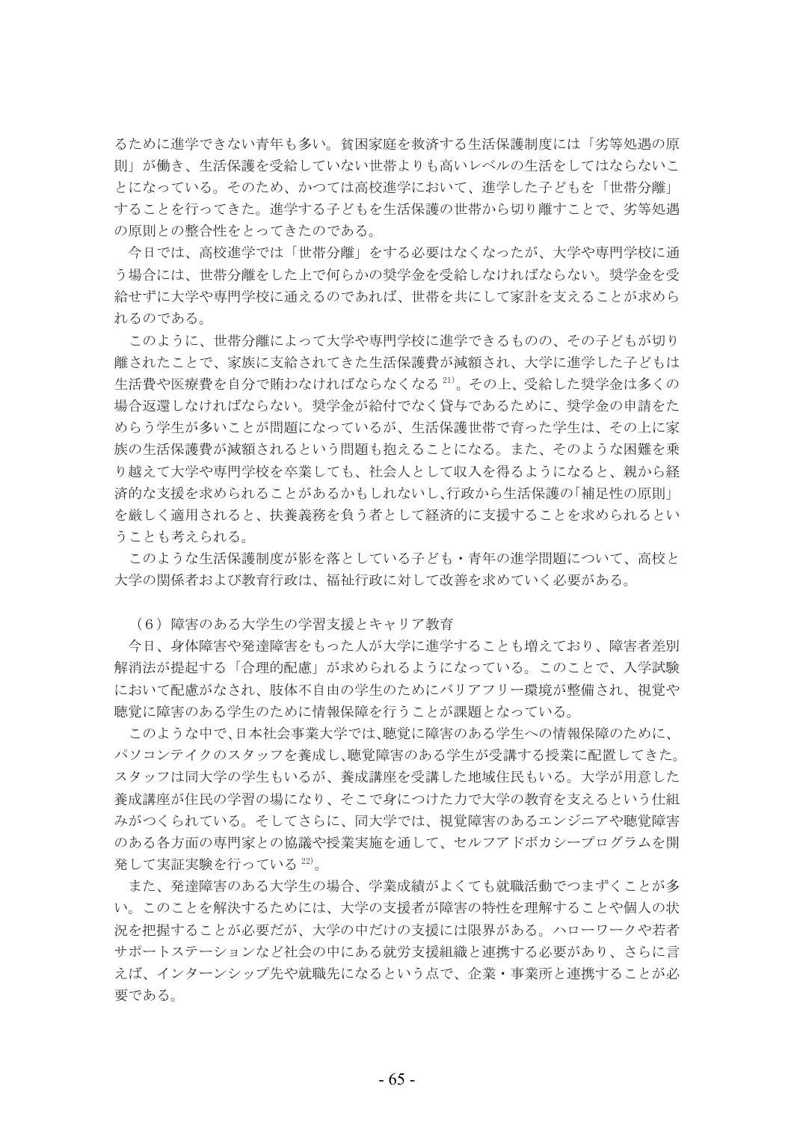るために進学できない青年も多い。貧困家庭を救済する生活保護制度には「劣等処遇の原 則」が働き、生活保護を受給していない世帯よりも高いレベルの生活をしてはならないこ とになっている。そのため、かつては高校進学において、進学した子どもを「世帯分離」 することを行ってきた。進学する子どもを生活保護の世帯から切り離すことで、劣等処遇 の原則との整合性をとってきたのである。

今日では、高校進学では「世帯分離」をする必要はなくなったが、大学や専門学校に通 う場合には、世帯分離をした上で何らかの奨学金を受給しなければならない。奨学金を受 給せずに大学や専門学校に通えるのであれば、世帯を共にして家計を支えることが求めら れるのである。

このように、世帯分離によって大学や専門学校に進学できるものの、その子どもが切り 離されたことで、家族に支給されてきた生活保護費が減額され、大学に進学した子どもは 生活費や医療費を自分で賄わなければならなくなる21)。その上、受給した奨学金は多くの 場合返還しなければならない。奨学金が給付でなく貸与であるために、奨学金の申請をた めらう学生が多いことが問題になっているが、生活保護世帯で育った学生は、その上に家 族の生活保護費が減額されるという問題も抱えることになる。また、そのような困難を乗 り越えて大学や専門学校を卒業しても、社会人として収入を得るようになると、親から経 済的な支援を求められることがあるかもしれないし、行政から生活保護の「補足性の原則」 を厳しく適用されると、扶養義務を負う者として経済的に支援することを求められるとい うことも考えられる。

このような生活保護制度が影を落としている子ども・青年の進学問題について、高校と 大学の関係者および教育行政は、福祉行政に対して改善を求めていく必要がある。

(6) 障害のある大学生の学習支援とキャリア教育

今日、身体障害や発達障害をもった人が大学に進学することも増えており、障害者差別 解消法が提起する「合理的配慮」が求められるようになっている。このことで、入学試験 において配慮がなされ、肢体不自由の学生のためにバリアフリー環境が整備され、視覚や 聴覚に障害のある学生のために情報保障を行うことが課題となっている。

このような中で、日本社会事業大学では、聴覚に障害のある学生への情報保障のために、 パソコンテイクのスタッフを養成し、聴覚障害のある学生が受講する授業に配置してきた。 スタッフは同大学の学生もいるが、養成講座を受講した地域住民もいる。大学が用意した 養成講座が住民の学習の場になり、そこで身につけた力で大学の教育を支えるという仕組 みがつくられている。そしてさらに、同大学では、視覚障害のあるエンジニアや聴覚障害 のある各方面の専門家との協議や授業実施を通して、セルフアドボカシープログラムを開 発して実証実験を行っている22)。

また、発達障害のある大学生の場合、学業成績がよくても就職活動でつまずくことが多 い。このことを解決するためには、大学の支援者が障害の特性を理解することや個人の状 況を把握することが必要だが、大学の中だけの支援には限界がある。ハローワークや若者 サポートステーションなど社会の中にある就労支援組織と連携する必要があり、さらに言 えば、インターンシップ先や就職先になるという点で、企業・事業所と連携することが必 要である。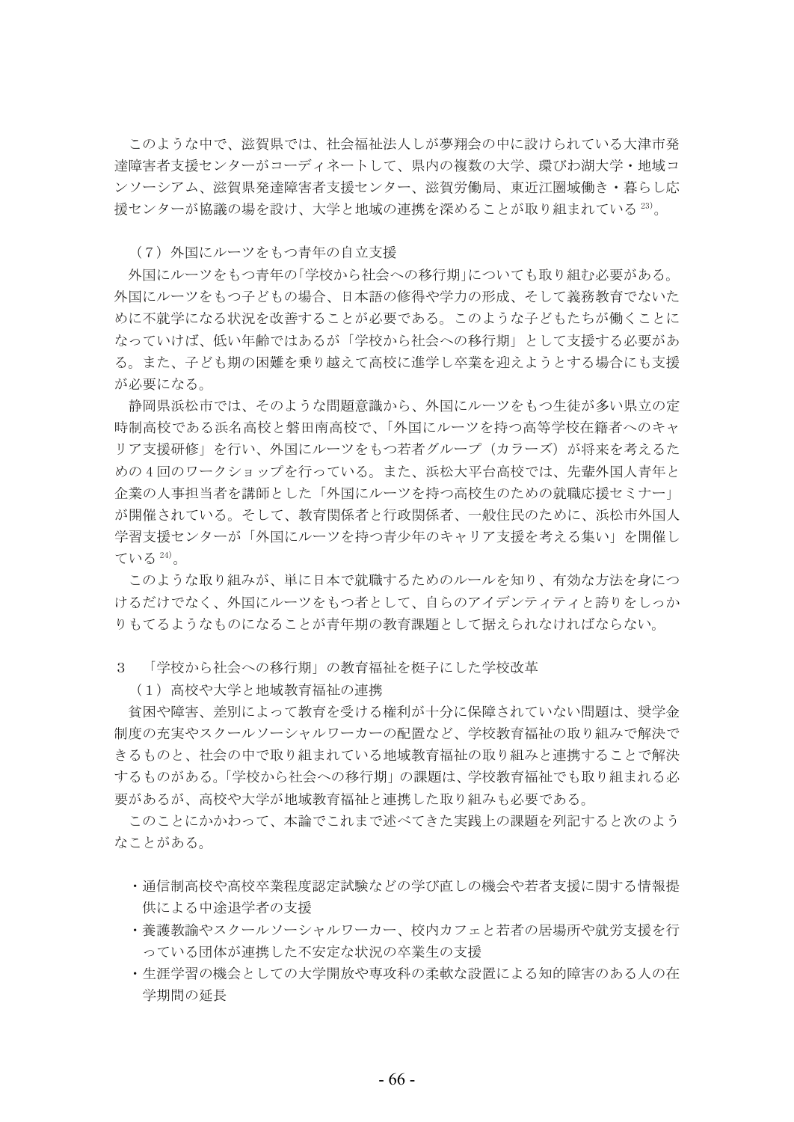このような中で、滋賀県では、社会福祉法人しが夢翔会の中に設けられている大津市発 達障害者支援センターがコーディネートして、県内の複数の大学、環びわ湖大学・地域コ ンソーシアム、滋賀県発達障害者支援センター、滋賀労働局、東近江圏域働き・暮らし応 援センターが協議の場を設け、大学と地域の連携を深めることが取り組まれている<sup>23)</sup>。

(7) 外国にルーツをもつ青年の自立支援

外国にルーツをもつ青年の「学校から社会への移行期」についても取り組む必要がある。 外国にルーツをもつ子どもの場合、日本語の修得や学力の形成、そして義務教育でないた めに不就学になる状況を改善することが必要である。このような子どもたちが働くことに なっていけば、低い年齢ではあるが「学校から社会への移行期」として支援する必要があ る。また、子ども期の困難を乗り越えて高校に進学し卒業を迎えようとする場合にも支援 が必要になる。

静岡県浜松市では、そのような問題意識から、外国にルーツをもつ生徒が多い県立の定 時制高校である浜名高校と磐田南高校で、「外国にルーツを持つ高等学校在籍者へのキャ リア支援研修」を行い、外国にルーツをもつ若者グループ (カラーズ) が将来を考えるた めの4回のワークショップを行っている。また、浜松大平台高校では、先輩外国人青年と 企業の人事担当者を講師とした「外国にルーツを持つ高校生のための就職応援セミナー」 が開催されている。そして、教育関係者と行政関係者、一般住民のために、浜松市外国人 学習支援センターが「外国にルーツを持つ青少年のキャリア支援を考える集い」を開催し ている 24)。

このような取り組みが、単に日本で就職するためのルールを知り、有効な方法を身につ けるだけでなく、外国にルーツをもつ者として、自らのアイデンティティと誇りをしっか りもてるようなものになることが青年期の教育課題として据えられなければならない。

3 「学校から社会への移行期」の教育福祉を梃子にした学校改革

(1) 高校や大学と地域教育福祉の連携

貧困や障害、差別によって教育を受ける権利が十分に保障されていない問題は、奨学金 制度の充実やスクールソーシャルワーカーの配置など、学校教育福祉の取り組みで解決で きるものと、社会の中で取り組まれている地域教育福祉の取り組みと連携することで解決 するものがある。「学校から社会への移行期」の課題は、学校教育福祉でも取り組まれる必 要があるが、高校や大学が地域教育福祉と連携した取り組みも必要である。

このことにかかわって、本論でこれまで述べてきた実践上の課題を列記すると次のよう なことがある。

- ・诵信制高校や高校卒業程度認定試験などの学び直しの機会や若者支援に関する情報提 供による中涂退学者の支援
- ・養護教諭やスクールソーシャルワーカー、校内カフェと若者の居場所や就労支援を行 っている団体が連携した不安定な状況の卒業生の支援
- ・生涯学習の機会としての大学開放や専攻科の柔軟な設置による知的障害のある人の在 学期間の延長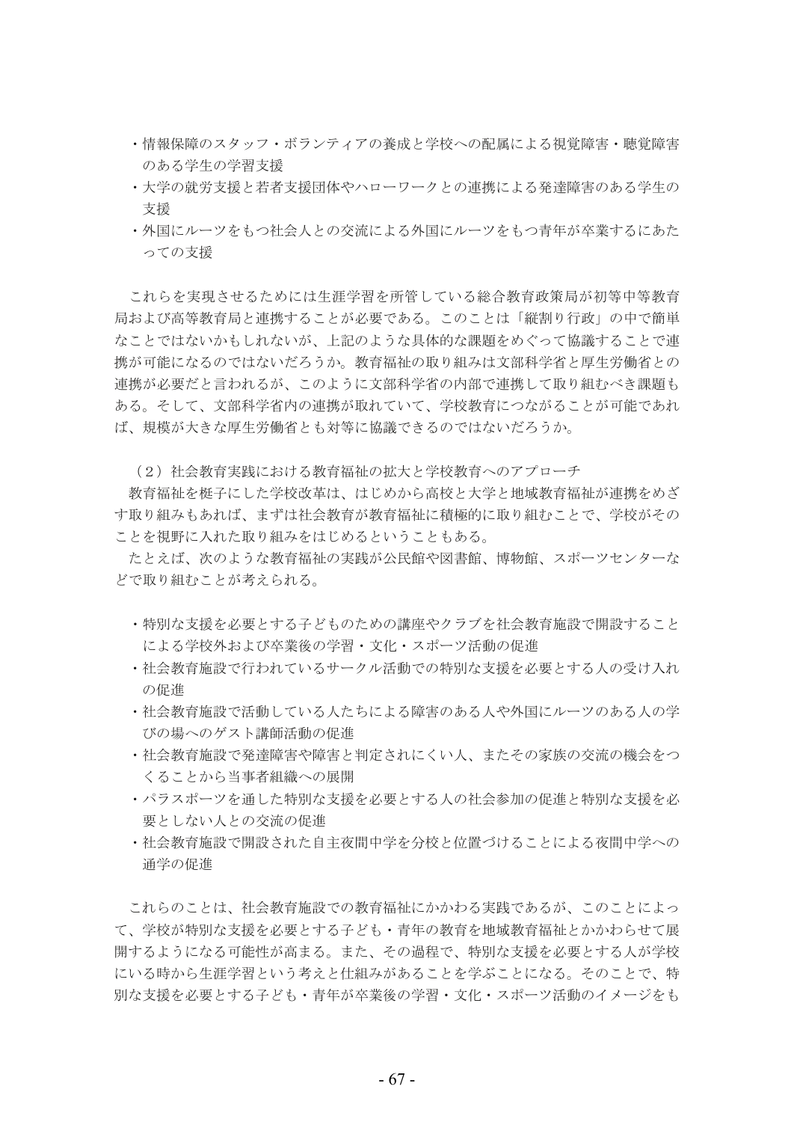- ・情報保障のスタッフ・ボランティアの養成と学校への配属による視覚障害・聴覚障害 のある学生の学習支援
- ・大学の就労支援と若者支援団体やハローワークとの連携による発達障害のある学生の 支援
- ・外国にルーツをもつ社会人との交流による外国にルーツをもつ青年が卒業するにあた っての支援

これらを実現させるためには生涯学習を所管している総合教育政策局が初等中等教育 局および高等教育局と連携することが必要である。このことは「縦割り行政」の中で簡単 なことではないかもしれないが、上記のような具体的な課題をめぐって協議することで連 携が可能になるのではないだろうか。教育福祉の取り組みは文部科学省と厚生労働省との 連携が必要だと言われるが、このように文部科学省の内部で連携して取り組むべき課題も ある。そして、文部科学省内の連携が取れていて、学校教育につながることが可能であれ ば、規模が大きな厚生労働省とも対等に協議できるのではないだろうか。

(2) 社会教育実践における教育福祉の拡大と学校教育へのアプローチ

教育福祉を梃子にした学校改革は、はじめから高校と大学と地域教育福祉が連携をめざ す取り組みもあれば、まずは社会教育が教育福祉に積極的に取り組むことで、学校がその ことを視野に入れた取り組みをはじめるということもある。

たとえば、次のような教育福祉の実践が公民館や図書館、博物館、スポーツセンターな どで取り組むことが考えられる。

- ・特別な支援を必要とする子どものための講座やクラブを社会教育施設で開設すること による学校外および卒業後の学習・文化・スポーツ活動の促進
- ・社会教育施設で行われているサークル活動での特別な支援を必要とする人の受け入れ の促進
- ・社会教育施設で活動している人たちによる障害のある人や外国にルーツのある人の学 びの場へのゲスト講師活動の促進
- ・社会教育施設で発達障害や障害と判定されにくい人、またその家族の交流の機会をつ くることから当事者組織への展開
- ・パラスポーツを通した特別な支援を必要とする人の社会参加の促進と特別な支援を必 要としない人との交流の促進
- ・社会教育施設で開設された自主夜間中学を分校と位置づけることによる夜間中学への 通学の促進

これらのことは、社会教育施設での教育福祉にかかわる実践であるが、このことによっ て、学校が特別な支援を必要とする子ども・青年の教育を地域教育福祉とかかわらせて展 開するようになる可能性が高まる。また、その過程で、特別な支援を必要とする人が学校 にいる時から生涯学習という考えと仕組みがあることを学ぶことになる。そのことで、特 別な支援を必要とする子ども・青年が卒業後の学習・文化・スポーツ活動のイメージをも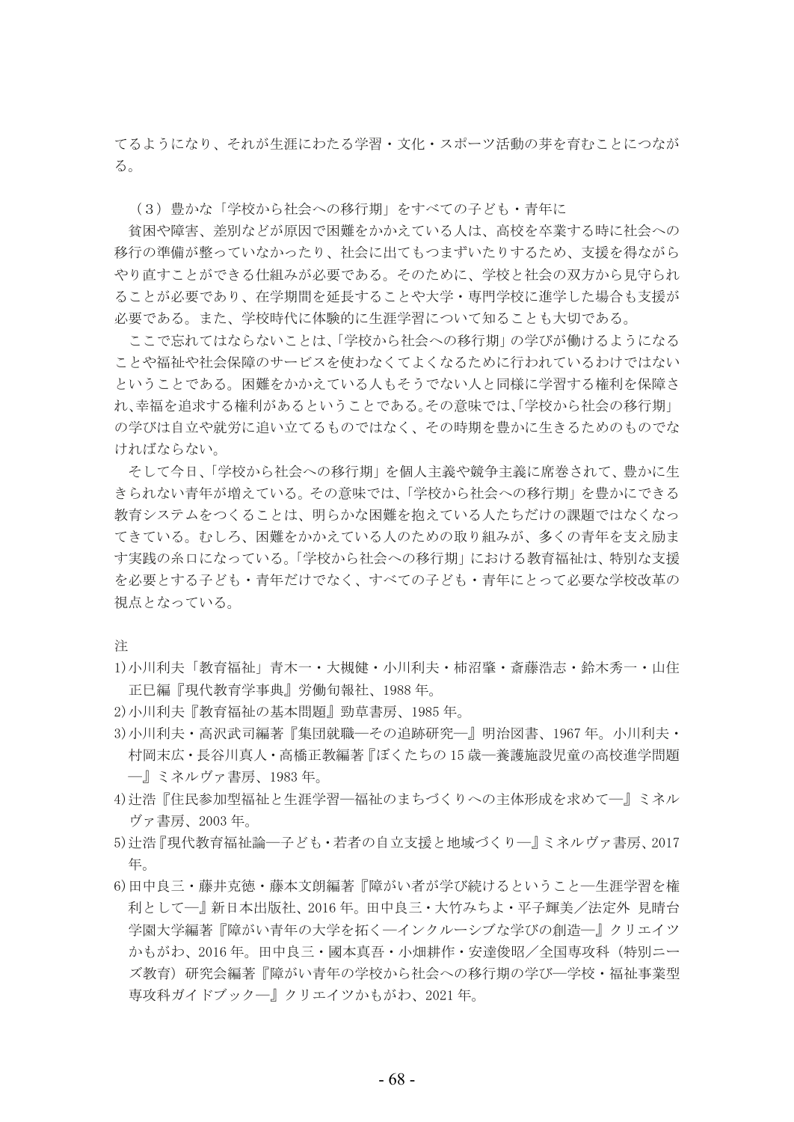てるようになり、それが生涯にわたる学習・文化・スポーツ活動の芽を育むことにつなが る。

(3) 豊かな「学校から社会への移行期」をすべての子ども・青年に

貧困や障害、差別などが原因で困難をかかえている人は、高校を卒業する時に社会への 移行の準備が整っていなかったり、社会に出てもつまずいたりするため、支援を得ながら やり直すことができる仕組みが必要である。そのために、学校と社会の双方から見守られ ることが必要であり、在学期間を延長することや大学・専門学校に進学した場合も支援が 必要である。また、学校時代に体験的に生涯学習について知ることも大切である。

ここで忘れてはならないことは、「学校から社会への移行期」の学びが働けるようになる ことや福祉や社会保障のサービスを使わなくてよくなるために行われているわけではない ということである。困難をかかえている人もそうでない人と同様に学習する権利を保障さ れ、幸福を追求する権利があるということである。その意味では、「学校から社会の移行期」 の学びは自立や就労に追い立てるものではなく、その時期を豊かに生きるためのものでな ければならない。

そして今日、「学校から社会への移行期」を個人主義や競争主義に席巻されて、豊かに生 きられない青年が増えている。その意味では、「学校から社会への移行期」を豊かにできる 教育システムをつくることは、明らかな困難を抱えている人たちだけの課題ではなくなっ てきている。むしろ、困難をかかえている人のための取り組みが、多くの青年を支え励ま す実践の糸口になっている。「学校から社会への移行期」における教育福祉は、特別な支援 を必要とする子ども・青年だけでなく、すべての子ども・青年にとって必要な学校改革の 視点となっている。

注

- 1)小川利夫「教育福祉」青木一・大槻健・小川利夫・柿沼肇・斎藤浩志・鈴木秀一・山住 正巳編『現代教育学事典』労働旬報社、1988年。
- 2)小川利夫『教育福祉の基本問題』勁草書房、1985年。
- 3)小川利夫・高沢武司編著『集団就職―その追跡研究―』明治図書、1967年。小川利夫・ 村岡末広・長谷川真人・高橋正教編著『ぼくたちの15歳―養護施設児童の高校進学問題 一』ミネルヴァ書房、1983年。
- 4)辻浩『住民参加型福祉と生涯学習―福祉のまちづくりへの主体形成を求めて―』ミネル ヴァ書房、2003年。
- 5)汁浩『現代教育福祉論–子ども·若者の自立支援と地域づくり––』ミネルヴァ書房、2017 年。
- 6)田中良三・藤井克徳・藤本文朗編著『障がい者が学び続けるということ―牛涯学習を権 利として―』新日本出版社、2016年。田中良三・大竹みちよ・平子輝美/法定外 見晴台 学園大学編著『障がい青年の大学を拓く―インクルーシブな学びの創造―』クリエイツ かもがわ、2016年。田中良三・國本真吾・小畑耕作・安達俊昭/全国専攻科(特別ニー ズ教育)研究会編著『障がい青年の学校から社会への移行期の学び―学校・福祉事業型 専攻科ガイドブックー』クリエイツかもがわ、2021年。